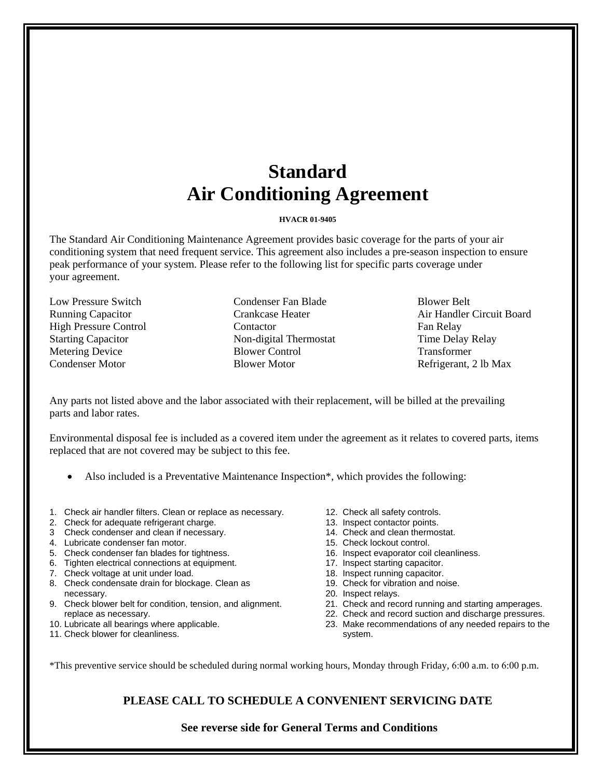# **Standard Air Conditioning Agreement**

### **HVACR 01-9405**

The Standard Air Conditioning Maintenance Agreement provides basic coverage for the parts of your air conditioning system that need frequent service. This agreement also includes a pre-season inspection to ensure peak performance of your system. Please refer to the following list for specific parts coverage under your agreement.

Low Pressure Switch Running Capacitor High Pressure Control Starting Capacitor Metering Device Condenser Motor

Condenser Fan Blade Crankcase Heater Contactor Non-digital Thermostat Blower Control Blower Motor

Blower Belt Air Handler Circuit Board Fan Relay Time Delay Relay Transformer Refrigerant, 2 lb Max

Any parts not listed above and the labor associated with their replacement, will be billed at the prevailing parts and labor rates.

Environmental disposal fee is included as a covered item under the agreement as it relates to covered parts, items replaced that are not covered may be subject to this fee.

- Also included is a Preventative Maintenance Inspection\*, which provides the following:
- 1. Check air handler filters. Clean or replace as necessary.
- 2. Check for adequate refrigerant charge.
- 3 Check condenser and clean if necessary.
- 4. Lubricate condenser fan motor.
- 5. Check condenser fan blades for tightness.
- 6. Tighten electrical connections at equipment.
- 7. Check voltage at unit under load.
- 8. Check condensate drain for blockage. Clean as necessary.
- 9. Check blower belt for condition, tension, and alignment. replace as necessary.
- 10. Lubricate all bearings where applicable.
- 11. Check blower for cleanliness.
- 12. Check all safety controls.
- 13. Inspect contactor points.
- 14. Check and clean thermostat.
- 15. Check lockout control.
- 16. Inspect evaporator coil cleanliness.
- 17. Inspect starting capacitor.
- 18. Inspect running capacitor.
- 19. Check for vibration and noise.
- 20. Inspect relays.
- 21. Check and record running and starting amperages.
- 22. Check and record suction and discharge pressures.
- 23. Make recommendations of any needed repairs to the system.

\*This preventive service should be scheduled during normal working hours, Monday through Friday, 6:00 a.m. to 6:00 p.m.

# **PLEASE CALL TO SCHEDULE A CONVENIENT SERVICING DATE**

 **See reverse side for General Terms and Conditions**